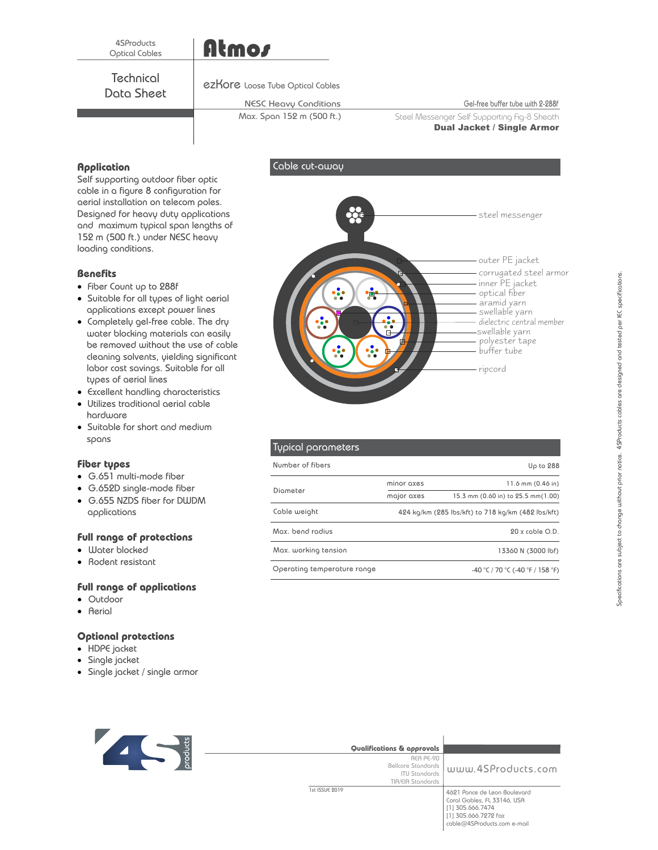# Atmos

Data Sheet **Technical** 

#### ezKore Loose Tube Optical Cables

## NESC Heavy Conditions

Cable cut-away

Max. Span 152 m (500 ft.)

Gel-free buffer tube with 2-288f

Steel Messenger Self Supporting Fig-8 Sheath Dual Jacket / Single Armor

# **Application**

Self supporting outdoor fiber optic cable in a figure 8 configuration for aerial installation on telecom poles. Designed for heavy duty applications and maximum typical span lengths of 152 m (500 ft.) under NESC heavy loading conditions.

# **Benefits**

- · Fiber Count up to 288f
- · Suitable for all types of light aerial applications except power lines
- · Completely gel-free cable. The dry water blocking materials can easily be removed without the use of cable cleaning solvents, yielding significant labor cost savings. Suitable for all types of aerial lines
- · Excellent handling characteristics
- · Utilizes traditional aerial cable hardware
- · Suitable for short and medium spans

## **Fiber types**

- · G.651 multi-mode fiber
- · G.652D single-mode fiber
- · G.655 NZDS fiber for DWDM applications

## **Full range of protections**

- · Water blocked
- · Rodent resistant

## **Full range of applications**

- · Outdoor
- · Aerial

# **Optional protections**

- · HDPE jacket
- · Single jacket
- · Single jacket / single armor



| Qualifications & approvals                                                          |                                                                                                                                        |
|-------------------------------------------------------------------------------------|----------------------------------------------------------------------------------------------------------------------------------------|
| REA PE-90<br><b>Bellcore Standards</b><br><b>ITU Standards</b><br>TIA/EIA Standards | www.4SProducts.com                                                                                                                     |
| 1st ISSUE 2019                                                                      | 4621 Ponce de Leon Boulevard<br>Coral Gables, FL 33146, USA<br>[1] 305.666.7474<br>[1] 305.666.7272 fax<br>cable@4SProducts.com e-mail |



| Typical parameters          |            |                                                    |
|-----------------------------|------------|----------------------------------------------------|
| Number of fibers            |            | Up to 288                                          |
| Diameter                    | minor axes | 11.6 mm (0.46 in)                                  |
|                             | major axes | 15.3 mm (0.60 in) to 25.5 mm (1.00)                |
| Cable weight                |            | 424 kg/km (285 lbs/kft) to 718 kg/km (482 lbs/kft) |
| Max. bend radius            |            | $20x$ cable O.D.                                   |
| Max. working tension        |            | 13360 N (3000 lbf)                                 |
| Operating temperature range |            | -40 °C / 70 °C (-40 °F / 158 °F)                   |